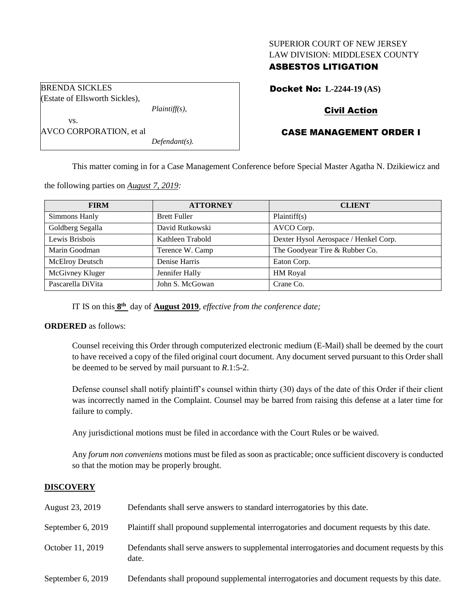## SUPERIOR COURT OF NEW JERSEY LAW DIVISION: MIDDLESEX COUNTY

# ASBESTOS LITIGATION

Docket No: **L-2244-19 (AS)**

# Civil Action

# CASE MANAGEMENT ORDER I

vs. AVCO CORPORATION, et al *Defendant(s).*

*Plaintiff(s),*

BRENDA SICKLES

(Estate of Ellsworth Sickles),

This matter coming in for a Case Management Conference before Special Master Agatha N. Dzikiewicz and

the following parties on *August 7, 2019:*

| <b>FIRM</b>       | <b>ATTORNEY</b>     | <b>CLIENT</b>                         |
|-------------------|---------------------|---------------------------------------|
| Simmons Hanly     | <b>Brett Fuller</b> | Plaintiff(s)                          |
| Goldberg Segalla  | David Rutkowski     | AVCO Corp.                            |
| Lewis Brisbois    | Kathleen Trabold    | Dexter Hysol Aerospace / Henkel Corp. |
| Marin Goodman     | Terence W. Camp     | The Goodyear Tire & Rubber Co.        |
| McElroy Deutsch   | Denise Harris       | Eaton Corp.                           |
| McGivney Kluger   | Jennifer Hally      | HM Royal                              |
| Pascarella DiVita | John S. McGowan     | Crane Co.                             |

IT IS on this **8 th** day of **August 2019**, *effective from the conference date;*

## **ORDERED** as follows:

Counsel receiving this Order through computerized electronic medium (E-Mail) shall be deemed by the court to have received a copy of the filed original court document. Any document served pursuant to this Order shall be deemed to be served by mail pursuant to *R*.1:5-2.

Defense counsel shall notify plaintiff's counsel within thirty (30) days of the date of this Order if their client was incorrectly named in the Complaint. Counsel may be barred from raising this defense at a later time for failure to comply.

Any jurisdictional motions must be filed in accordance with the Court Rules or be waived.

Any *forum non conveniens* motions must be filed as soon as practicable; once sufficient discovery is conducted so that the motion may be properly brought.

## **DISCOVERY**

| August 23, 2019   | Defendants shall serve answers to standard interrogatories by this date.                              |
|-------------------|-------------------------------------------------------------------------------------------------------|
| September 6, 2019 | Plaintiff shall propound supplemental interrogatories and document requests by this date.             |
| October 11, 2019  | Defendants shall serve answers to supplemental interrogatories and document requests by this<br>date. |
| September 6, 2019 | Defendants shall propound supplemental interrogatories and document requests by this date.            |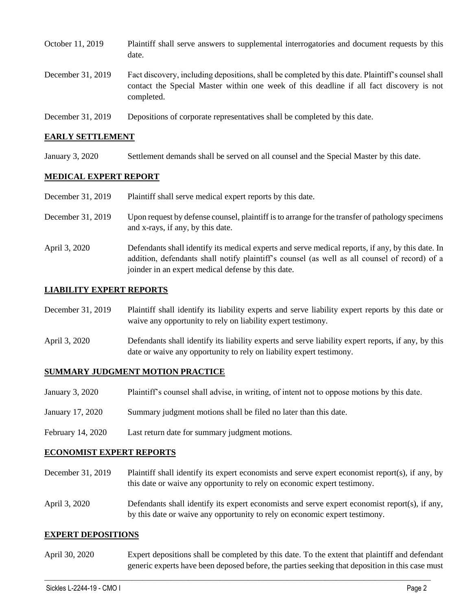| October 11, 2019  | Plaintiff shall serve answers to supplemental interrogatories and document requests by this<br>date.                                                                                                        |
|-------------------|-------------------------------------------------------------------------------------------------------------------------------------------------------------------------------------------------------------|
| December 31, 2019 | Fact discovery, including depositions, shall be completed by this date. Plaintiff's counsel shall<br>contact the Special Master within one week of this deadline if all fact discovery is not<br>completed. |
| December 31, 2019 | Depositions of corporate representatives shall be completed by this date.                                                                                                                                   |

### **EARLY SETTLEMENT**

January 3, 2020 Settlement demands shall be served on all counsel and the Special Master by this date.

### **MEDICAL EXPERT REPORT**

| December 31, 2019 | Plaintiff shall serve medical expert reports by this date.                                       |
|-------------------|--------------------------------------------------------------------------------------------------|
| December 31, 2019 | Upon request by defense counsel, plaintiff is to arrange for the transfer of pathology specimens |

and x-rays, if any, by this date.

April 3, 2020 Defendants shall identify its medical experts and serve medical reports, if any, by this date. In addition, defendants shall notify plaintiff's counsel (as well as all counsel of record) of a joinder in an expert medical defense by this date.

### **LIABILITY EXPERT REPORTS**

| December 31, 2019 | Plaintiff shall identify its liability experts and serve liability expert reports by this date or |
|-------------------|---------------------------------------------------------------------------------------------------|
|                   | waive any opportunity to rely on liability expert testimony.                                      |
|                   |                                                                                                   |

April 3, 2020 Defendants shall identify its liability experts and serve liability expert reports, if any, by this date or waive any opportunity to rely on liability expert testimony.

#### **SUMMARY JUDGMENT MOTION PRACTICE**

- January 3, 2020 Plaintiff's counsel shall advise, in writing, of intent not to oppose motions by this date.
- January 17, 2020 Summary judgment motions shall be filed no later than this date.
- February 14, 2020 Last return date for summary judgment motions.

#### **ECONOMIST EXPERT REPORTS**

- December 31, 2019 Plaintiff shall identify its expert economists and serve expert economist report(s), if any, by this date or waive any opportunity to rely on economic expert testimony.
- April 3, 2020 Defendants shall identify its expert economists and serve expert economist report(s), if any, by this date or waive any opportunity to rely on economic expert testimony.

#### **EXPERT DEPOSITIONS**

April 30, 2020 Expert depositions shall be completed by this date. To the extent that plaintiff and defendant generic experts have been deposed before, the parties seeking that deposition in this case must

 $\_$  , and the set of the set of the set of the set of the set of the set of the set of the set of the set of the set of the set of the set of the set of the set of the set of the set of the set of the set of the set of th